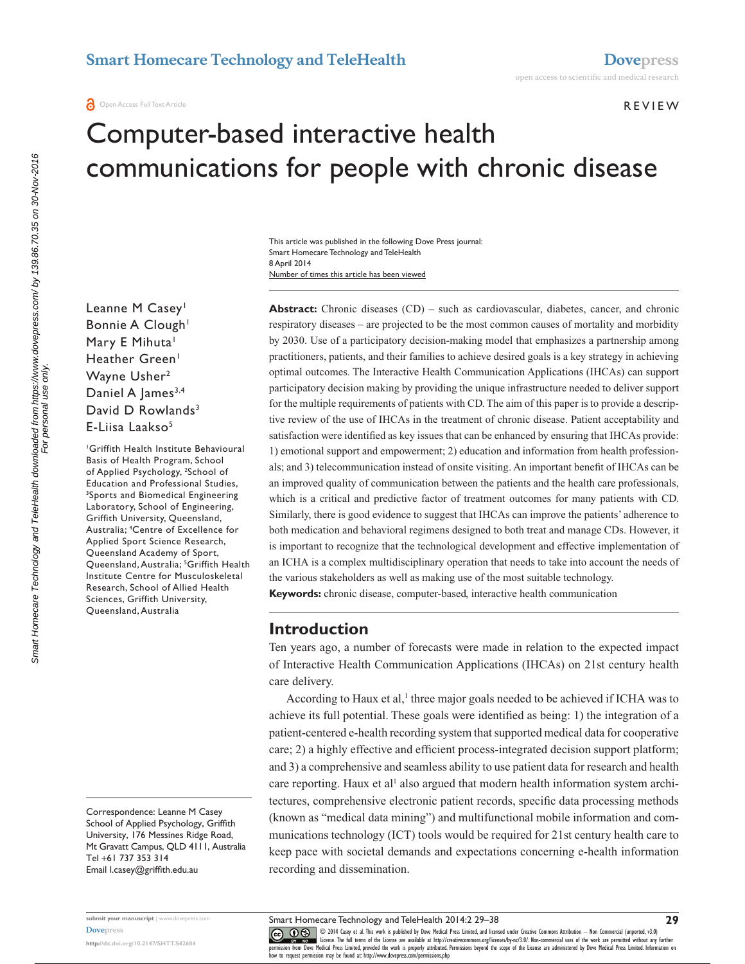Open Access Full Text Article

#### Review

# Computer-based interactive health communications for people with chronic disease

Number of times this article has been viewed This article was published in the following Dove Press journal: Smart Homecare Technology and TeleHealth 8 April 2014

Leanne M Casey<sup>1</sup> Bonnie A Clough<sup>1</sup> Mary E Mihuta<sup>1</sup> Heather Green<sup>1</sup> Wayne Usher<sup>2</sup> Daniel A James<sup>3,4</sup> David D Rowlands<sup>3</sup> E-Liisa Laakso<sup>5</sup>

1 Griffith Health Institute Behavioural Basis of Health Program, School of Applied Psychology, <sup>2</sup>School of Education and Professional Studies, 3 Sports and Biomedical Engineering Laboratory, School of Engineering, Griffith University, Queensland, Australia; 4 Centre of Excellence for Applied Sport Science Research, Queensland Academy of Sport, Queensland, Australia; 5 Griffith Health Institute Centre for Musculoskeletal Research, School of Allied Health Sciences, Griffith University, Queensland, Australia

Correspondence: Leanne M Casey School of Applied Psychology, Griffith University, 176 Messines Ridge Road, Mt Gravatt Campus, QLD 4111, Australia Tel +61 737 353 314 Email [l.casey@griffith.edu.a](mailto:l.casey@griffith.edu.au)u

**submit your manuscript** | <www.dovepress.com> **[Dovepress](www.dovepress.com) <http://dx.doi.org/10.2147/SHTT.S42684>**

**Abstract:** Chronic diseases (CD) – such as cardiovascular, diabetes, cancer, and chronic respiratory diseases – are projected to be the most common causes of mortality and morbidity by 2030. Use of a participatory decision-making model that emphasizes a partnership among practitioners, patients, and their families to achieve desired goals is a key strategy in achieving optimal outcomes. The Interactive Health Communication Applications (IHCAs) can support participatory decision making by providing the unique infrastructure needed to deliver support for the multiple requirements of patients with CD. The aim of this paper is to provide a descriptive review of the use of IHCAs in the treatment of chronic disease. Patient acceptability and satisfaction were identified as key issues that can be enhanced by ensuring that IHCAs provide: 1) emotional support and empowerment; 2) education and information from health professionals; and 3) telecommunication instead of onsite visiting. An important benefit of IHCAs can be an improved quality of communication between the patients and the health care professionals, which is a critical and predictive factor of treatment outcomes for many patients with CD. Similarly, there is good evidence to suggest that IHCAs can improve the patients' adherence to both medication and behavioral regimens designed to both treat and manage CDs. However, it is important to recognize that the technological development and effective implementation of an ICHA is a complex multidisciplinary operation that needs to take into account the needs of the various stakeholders as well as making use of the most suitable technology. **Keywords:** chronic disease, computer-based, interactive health communication

#### **Introduction**

Ten years ago, a number of forecasts were made in relation to the expected impact of Interactive Health Communication Applications (IHCAs) on 21st century health care delivery.

According to Haux et al,<sup>1</sup> three major goals needed to be achieved if ICHA was to achieve its full potential. These goals were identified as being: 1) the integration of a patient-centered e-health recording system that supported medical data for cooperative care; 2) a highly effective and efficient process-integrated decision support platform; and 3) a comprehensive and seamless ability to use patient data for research and health care reporting. Haux et al<sup>1</sup> also argued that modern health information system architectures, comprehensive electronic patient records, specific data processing methods (known as "medical data mining") and multifunctional mobile information and communications technology (ICT) tools would be required for 21st century health care to keep pace with societal demands and expectations concerning e-health information recording and dissemination.

CO ODI4 Casey et al. This work is published by Dove Medical Press Limited, and licensed under Creative Commons Attribution - Non Commercial (unported, v3.0)<br> [permission from Dove M](http://www.dovepress.com/permissions.php)edical Press Limited, provided the work is

Smart Homecare Technology and TeleHealth 2014:2 29–38

how to request permission may be found at: http://www.dovepress.com/permissions.php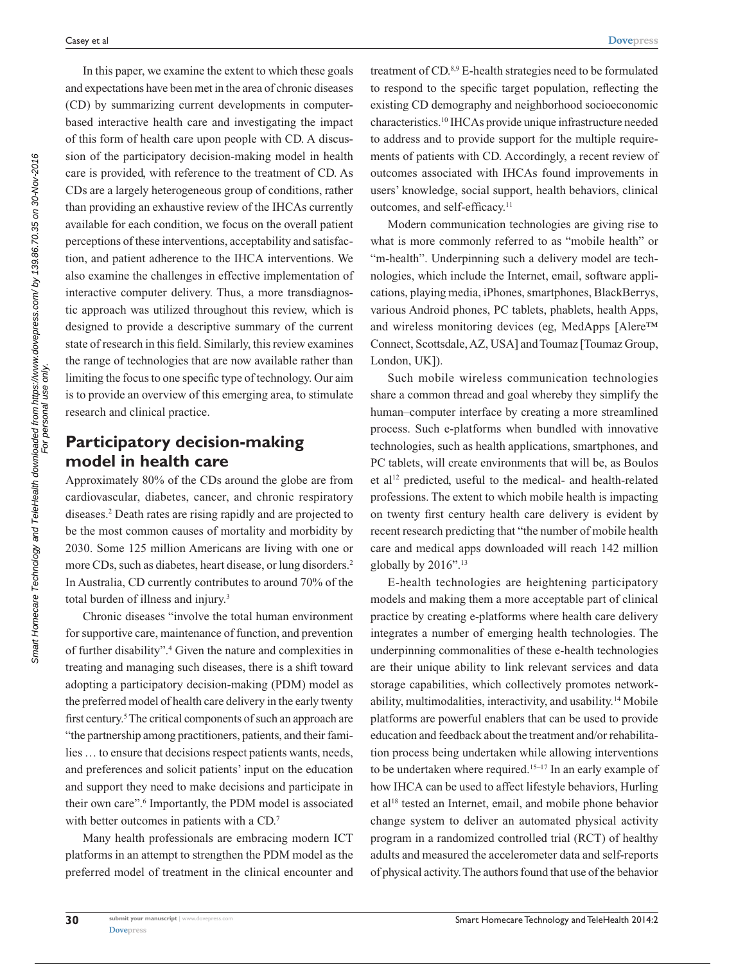**[Dovepress](www.dovepress.com)**

In this paper, we examine the extent to which these goals and expectations have been met in the area of chronic diseases (CD) by summarizing current developments in computerbased interactive health care and investigating the impact of this form of health care upon people with CD. A discussion of the participatory decision-making model in health care is provided, with reference to the treatment of CD. As CDs are a largely heterogeneous group of conditions, rather than providing an exhaustive review of the IHCAs currently available for each condition, we focus on the overall patient perceptions of these interventions, acceptability and satisfaction, and patient adherence to the IHCA interventions. We also examine the challenges in effective implementation of interactive computer delivery. Thus, a more transdiagnostic approach was utilized throughout this review, which is designed to provide a descriptive summary of the current state of research in this field. Similarly, this review examines the range of technologies that are now available rather than limiting the focus to one specific type of technology. Our aim is to provide an overview of this emerging area, to stimulate research and clinical practice.

# **Participatory decision-making model in health care**

Approximately 80% of the CDs around the globe are from cardiovascular, diabetes, cancer, and chronic respiratory diseases.2 Death rates are rising rapidly and are projected to be the most common causes of mortality and morbidity by 2030. Some 125 million Americans are living with one or more CDs, such as diabetes, heart disease, or lung disorders.<sup>2</sup> In Australia, CD currently contributes to around 70% of the total burden of illness and injury.<sup>3</sup>

Chronic diseases "involve the total human environment for supportive care, maintenance of function, and prevention of further disability".4 Given the nature and complexities in treating and managing such diseases, there is a shift toward adopting a participatory decision-making (PDM) model as the preferred model of health care delivery in the early twenty first century.<sup>5</sup> The critical components of such an approach are "the partnership among practitioners, patients, and their families … to ensure that decisions respect patients wants, needs, and preferences and solicit patients' input on the education and support they need to make decisions and participate in their own care".<sup>6</sup> Importantly, the PDM model is associated with better outcomes in patients with a CD.<sup>7</sup>

Many health professionals are embracing modern ICT platforms in an attempt to strengthen the PDM model as the preferred model of treatment in the clinical encounter and

to address and to provide support for the multiple requirements of patients with CD. Accordingly, a recent review of outcomes associated with IHCAs found improvements in users' knowledge, social support, health behaviors, clinical outcomes, and self-efficacy.<sup>11</sup> Modern communication technologies are giving rise to what is more commonly referred to as "mobile health" or "m-health". Underpinning such a delivery model are technologies, which include the Internet, email, software appli-

cations, playing media, iPhones, smartphones, BlackBerrys, various Android phones, PC tablets, phablets, health Apps, and wireless monitoring devices (eg, MedApps [Alere™ Connect, Scottsdale, AZ, USA] and Toumaz [Toumaz Group, London, UK]).

treatment of CD.8,9 E-health strategies need to be formulated to respond to the specific target population, reflecting the existing CD demography and neighborhood socioeconomic characteristics.10 IHCAs provide unique infrastructure needed

Such mobile wireless communication technologies share a common thread and goal whereby they simplify the human–computer interface by creating a more streamlined process. Such e-platforms when bundled with innovative technologies, such as health applications, smartphones, and PC tablets, will create environments that will be, as Boulos et al<sup>12</sup> predicted, useful to the medical- and health-related professions. The extent to which mobile health is impacting on twenty first century health care delivery is evident by recent research predicting that "the number of mobile health care and medical apps downloaded will reach 142 million globally by 2016". 13

E-health technologies are heightening participatory models and making them a more acceptable part of clinical practice by creating e-platforms where health care delivery integrates a number of emerging health technologies. The underpinning commonalities of these e-health technologies are their unique ability to link relevant services and data storage capabilities, which collectively promotes networkability, multimodalities, interactivity, and usability.14 Mobile platforms are powerful enablers that can be used to provide education and feedback about the treatment and/or rehabilitation process being undertaken while allowing interventions to be undertaken where required.<sup>15-17</sup> In an early example of how IHCA can be used to affect lifestyle behaviors, Hurling et al18 tested an Internet, email, and mobile phone behavior change system to deliver an automated physical activity program in a randomized controlled trial (RCT) of healthy adults and measured the accelerometer data and self-reports of physical activity. The authors found that use of the behavior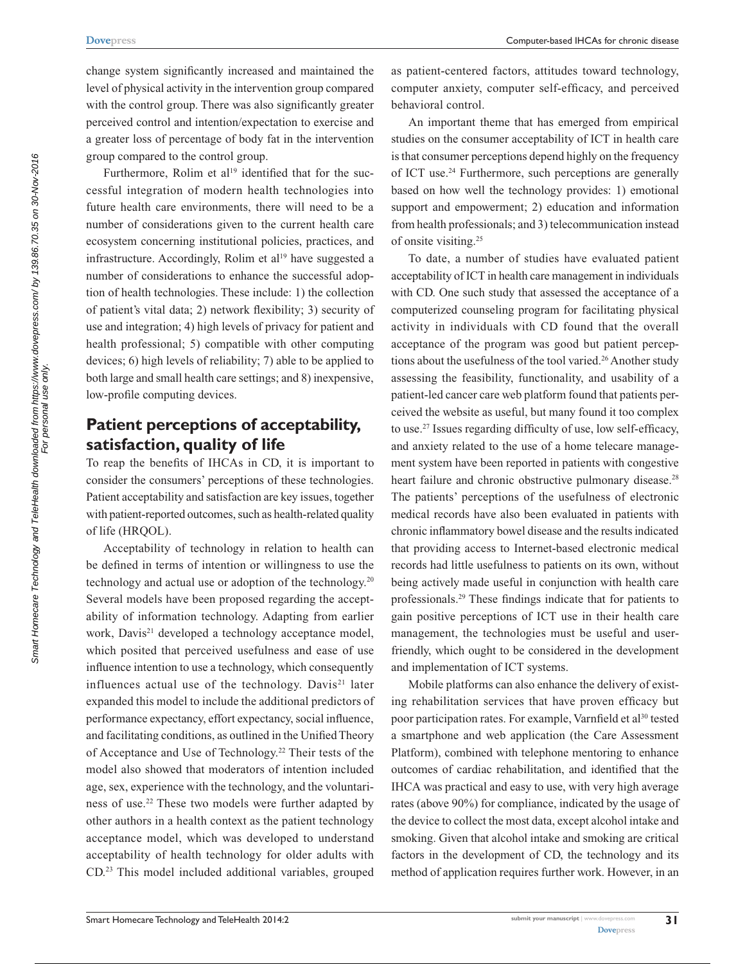change system significantly increased and maintained the level of physical activity in the intervention group compared with the control group. There was also significantly greater perceived control and intention/expectation to exercise and a greater loss of percentage of body fat in the intervention group compared to the control group.

Furthermore, Rolim et al<sup>19</sup> identified that for the successful integration of modern health technologies into future health care environments, there will need to be a number of considerations given to the current health care ecosystem concerning institutional policies, practices, and infrastructure. Accordingly, Rolim et  $al<sup>19</sup>$  have suggested a number of considerations to enhance the successful adoption of health technologies. These include: 1) the collection of patient's vital data; 2) network flexibility; 3) security of use and integration; 4) high levels of privacy for patient and health professional; 5) compatible with other computing devices; 6) high levels of reliability; 7) able to be applied to both large and small health care settings; and 8) inexpensive, low-profile computing devices.

## **Patient perceptions of acceptability, satisfaction, quality of life**

To reap the benefits of IHCAs in CD, it is important to consider the consumers' perceptions of these technologies. Patient acceptability and satisfaction are key issues, together with patient-reported outcomes, such as health-related quality of life (HRQOL).

Acceptability of technology in relation to health can be defined in terms of intention or willingness to use the technology and actual use or adoption of the technology.<sup>20</sup> Several models have been proposed regarding the acceptability of information technology. Adapting from earlier work, Davis<sup>21</sup> developed a technology acceptance model, which posited that perceived usefulness and ease of use influence intention to use a technology, which consequently influences actual use of the technology. Davis $21$  later expanded this model to include the additional predictors of performance expectancy, effort expectancy, social influence, and facilitating conditions, as outlined in the Unified Theory of Acceptance and Use of Technology.22 Their tests of the model also showed that moderators of intention included age, sex, experience with the technology, and the voluntariness of use.22 These two models were further adapted by other authors in a health context as the patient technology acceptance model, which was developed to understand acceptability of health technology for older adults with CD.23 This model included additional variables, grouped

as patient-centered factors, attitudes toward technology, computer anxiety, computer self-efficacy, and perceived behavioral control.

An important theme that has emerged from empirical studies on the consumer acceptability of ICT in health care is that consumer perceptions depend highly on the frequency of ICT use.24 Furthermore, such perceptions are generally based on how well the technology provides: 1) emotional support and empowerment; 2) education and information from health professionals; and 3) telecommunication instead of onsite visiting.25

To date, a number of studies have evaluated patient acceptability of ICT in health care management in individuals with CD. One such study that assessed the acceptance of a computerized counseling program for facilitating physical activity in individuals with CD found that the overall acceptance of the program was good but patient perceptions about the usefulness of the tool varied.<sup>26</sup> Another study assessing the feasibility, functionality, and usability of a patient-led cancer care web platform found that patients perceived the website as useful, but many found it too complex to use.27 Issues regarding difficulty of use, low self-efficacy, and anxiety related to the use of a home telecare management system have been reported in patients with congestive heart failure and chronic obstructive pulmonary disease.<sup>28</sup> The patients' perceptions of the usefulness of electronic medical records have also been evaluated in patients with chronic inflammatory bowel disease and the results indicated that providing access to Internet-based electronic medical records had little usefulness to patients on its own, without being actively made useful in conjunction with health care professionals.29 These findings indicate that for patients to gain positive perceptions of ICT use in their health care management, the technologies must be useful and userfriendly, which ought to be considered in the development and implementation of ICT systems.

Mobile platforms can also enhance the delivery of existing rehabilitation services that have proven efficacy but poor participation rates. For example, Varnfield et al<sup>30</sup> tested a smartphone and web application (the Care Assessment Platform), combined with telephone mentoring to enhance outcomes of cardiac rehabilitation, and identified that the IHCA was practical and easy to use, with very high average rates (above 90%) for compliance, indicated by the usage of the device to collect the most data, except alcohol intake and smoking. Given that alcohol intake and smoking are critical factors in the development of CD, the technology and its method of application requires further work. However, in an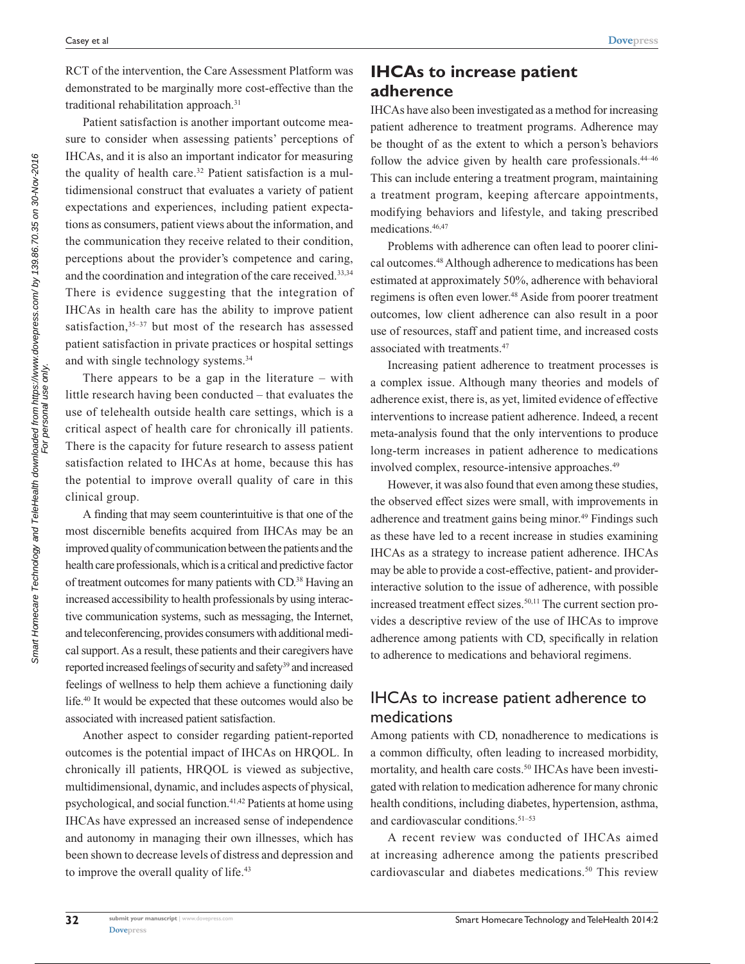RCT of the intervention, the Care Assessment Platform was demonstrated to be marginally more cost-effective than the traditional rehabilitation approach.<sup>31</sup>

Patient satisfaction is another important outcome measure to consider when assessing patients' perceptions of IHCAs, and it is also an important indicator for measuring the quality of health care.<sup>32</sup> Patient satisfaction is a multidimensional construct that evaluates a variety of patient expectations and experiences, including patient expectations as consumers, patient views about the information, and the communication they receive related to their condition, perceptions about the provider's competence and caring, and the coordination and integration of the care received.<sup>33,34</sup> There is evidence suggesting that the integration of IHCAs in health care has the ability to improve patient satisfaction,<sup>35-37</sup> but most of the research has assessed patient satisfaction in private practices or hospital settings and with single technology systems.<sup>34</sup>

There appears to be a gap in the literature – with little research having been conducted – that evaluates the use of telehealth outside health care settings, which is a critical aspect of health care for chronically ill patients. There is the capacity for future research to assess patient satisfaction related to IHCAs at home, because this has the potential to improve overall quality of care in this clinical group.

A finding that may seem counterintuitive is that one of the most discernible benefits acquired from IHCAs may be an improved quality of communication between the patients and the health care professionals, which is a critical and predictive factor of treatment outcomes for many patients with CD.<sup>38</sup> Having an increased accessibility to health professionals by using interactive communication systems, such as messaging, the Internet, and teleconferencing, provides consumers with additional medical support. As a result, these patients and their caregivers have reported increased feelings of security and safety<sup>39</sup> and increased feelings of wellness to help them achieve a functioning daily life.40 It would be expected that these outcomes would also be associated with increased patient satisfaction.

Another aspect to consider regarding patient-reported outcomes is the potential impact of IHCAs on HRQOL. In chronically ill patients, HRQOL is viewed as subjective, multidimensional, dynamic, and includes aspects of physical, psychological, and social function.41,42 Patients at home using IHCAs have expressed an increased sense of independence and autonomy in managing their own illnesses, which has been shown to decrease levels of distress and depression and to improve the overall quality of life.<sup>43</sup>

#### **IHCAs to increase patient adherence**

IHCAs have also been investigated as a method for increasing patient adherence to treatment programs. Adherence may be thought of as the extent to which a person's behaviors follow the advice given by health care professionals.<sup>44-46</sup> This can include entering a treatment program, maintaining a treatment program, keeping aftercare appointments, modifying behaviors and lifestyle, and taking prescribed medications.<sup>46,47</sup>

Problems with adherence can often lead to poorer clinical outcomes.48 Although adherence to medications has been estimated at approximately 50%, adherence with behavioral regimens is often even lower.<sup>48</sup> Aside from poorer treatment outcomes, low client adherence can also result in a poor use of resources, staff and patient time, and increased costs associated with treatments.47

Increasing patient adherence to treatment processes is a complex issue. Although many theories and models of adherence exist, there is, as yet, limited evidence of effective interventions to increase patient adherence. Indeed, a recent meta-analysis found that the only interventions to produce long-term increases in patient adherence to medications involved complex, resource-intensive approaches.<sup>49</sup>

However, it was also found that even among these studies, the observed effect sizes were small, with improvements in adherence and treatment gains being minor.49 Findings such as these have led to a recent increase in studies examining IHCAs as a strategy to increase patient adherence. IHCAs may be able to provide a cost-effective, patient- and providerinteractive solution to the issue of adherence, with possible increased treatment effect sizes.<sup>50,11</sup> The current section provides a descriptive review of the use of IHCAs to improve adherence among patients with CD, specifically in relation to adherence to medications and behavioral regimens.

# IHCAs to increase patient adherence to medications

Among patients with CD, nonadherence to medications is a common difficulty, often leading to increased morbidity, mortality, and health care costs.<sup>50</sup> IHCAs have been investigated with relation to medication adherence for many chronic health conditions, including diabetes, hypertension, asthma, and cardiovascular conditions.<sup>51-53</sup>

A recent review was conducted of IHCAs aimed at increasing adherence among the patients prescribed cardiovascular and diabetes medications.<sup>50</sup> This review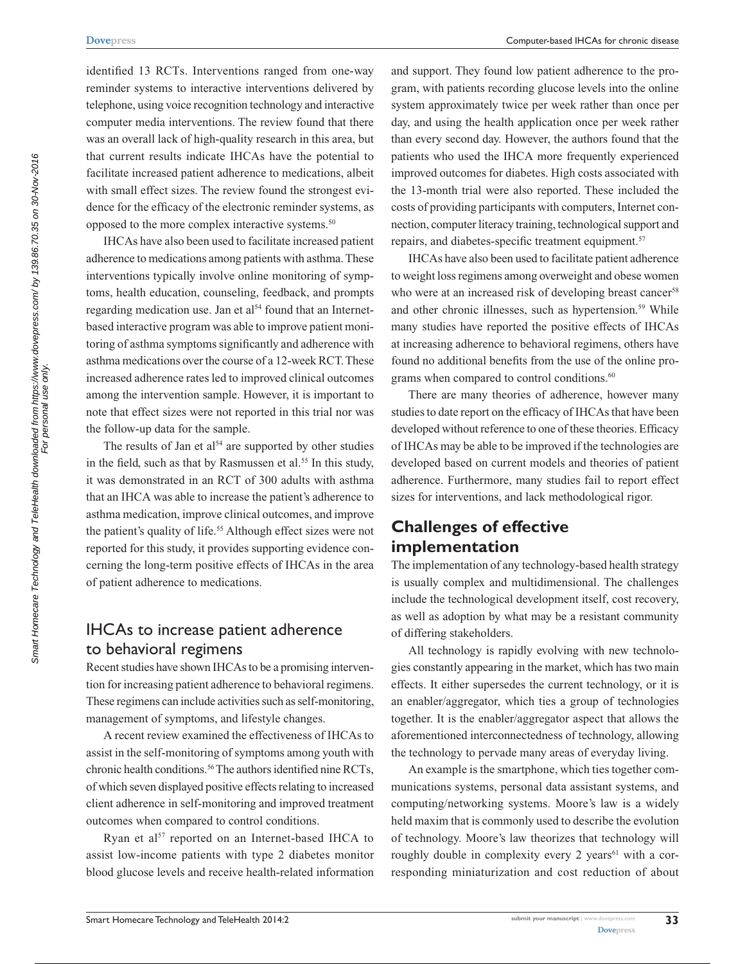identified 13 RCTs. Interventions ranged from one-way reminder systems to interactive interventions delivered by telephone, using voice recognition technology and interactive computer media interventions. The review found that there was an overall lack of high-quality research in this area, but that current results indicate IHCAs have the potential to facilitate increased patient adherence to medications, albeit with small effect sizes. The review found the strongest evidence for the efficacy of the electronic reminder systems, as opposed to the more complex interactive systems.<sup>50</sup>

IHCAs have also been used to facilitate increased patient adherence to medications among patients with asthma. These interventions typically involve online monitoring of symptoms, health education, counseling, feedback, and prompts regarding medication use. Jan et al<sup>54</sup> found that an Internetbased interactive program was able to improve patient monitoring of asthma symptoms significantly and adherence with asthma medications over the course of a 12-week RCT. These increased adherence rates led to improved clinical outcomes among the intervention sample. However, it is important to note that effect sizes were not reported in this trial nor was the follow-up data for the sample.

The results of Jan et  $al<sup>54</sup>$  are supported by other studies in the field, such as that by Rasmussen et al.<sup>55</sup> In this study, it was demonstrated in an RCT of 300 adults with asthma that an IHCA was able to increase the patient's adherence to asthma medication, improve clinical outcomes, and improve the patient's quality of life.<sup>55</sup> Although effect sizes were not reported for this study, it provides supporting evidence concerning the long-term positive effects of IHCAs in the area of patient adherence to medications.

## IHCAs to increase patient adherence to behavioral regimens

Recent studies have shown IHCAs to be a promising intervention for increasing patient adherence to behavioral regimens. These regimens can include activities such as self-monitoring, management of symptoms, and lifestyle changes.

A recent review examined the effectiveness of IHCAs to assist in the self-monitoring of symptoms among youth with chronic health conditions.<sup>56</sup> The authors identified nine RCTs, of which seven displayed positive effects relating to increased client adherence in self-monitoring and improved treatment outcomes when compared to control conditions.

Ryan et al<sup>57</sup> reported on an Internet-based IHCA to assist low-income patients with type 2 diabetes monitor blood glucose levels and receive health-related information and support. They found low patient adherence to the program, with patients recording glucose levels into the online system approximately twice per week rather than once per day, and using the health application once per week rather than every second day. However, the authors found that the patients who used the IHCA more frequently experienced improved outcomes for diabetes. High costs associated with the 13-month trial were also reported. These included the costs of providing participants with computers, Internet connection, computer literacy training, technological support and repairs, and diabetes-specific treatment equipment.<sup>57</sup>

IHCAs have also been used to facilitate patient adherence to weight loss regimens among overweight and obese women who were at an increased risk of developing breast cancer<sup>58</sup> and other chronic illnesses, such as hypertension.<sup>59</sup> While many studies have reported the positive effects of IHCAs at increasing adherence to behavioral regimens, others have found no additional benefits from the use of the online programs when compared to control conditions.<sup>60</sup>

There are many theories of adherence, however many studies to date report on the efficacy of IHCAs that have been developed without reference to one of these theories. Efficacy of IHCAs may be able to be improved if the technologies are developed based on current models and theories of patient adherence. Furthermore, many studies fail to report effect sizes for interventions, and lack methodological rigor.

# **Challenges of effective implementation**

The implementation of any technology-based health strategy is usually complex and multidimensional. The challenges include the technological development itself, cost recovery, as well as adoption by what may be a resistant community of differing stakeholders.

All technology is rapidly evolving with new technologies constantly appearing in the market, which has two main effects. It either supersedes the current technology, or it is an enabler/aggregator, which ties a group of technologies together. It is the enabler/aggregator aspect that allows the aforementioned interconnectedness of technology, allowing the technology to pervade many areas of everyday living.

An example is the smartphone, which ties together communications systems, personal data assistant systems, and computing/networking systems. Moore's law is a widely held maxim that is commonly used to describe the evolution of technology. Moore's law theorizes that technology will roughly double in complexity every 2 years<sup>61</sup> with a corresponding miniaturization and cost reduction of about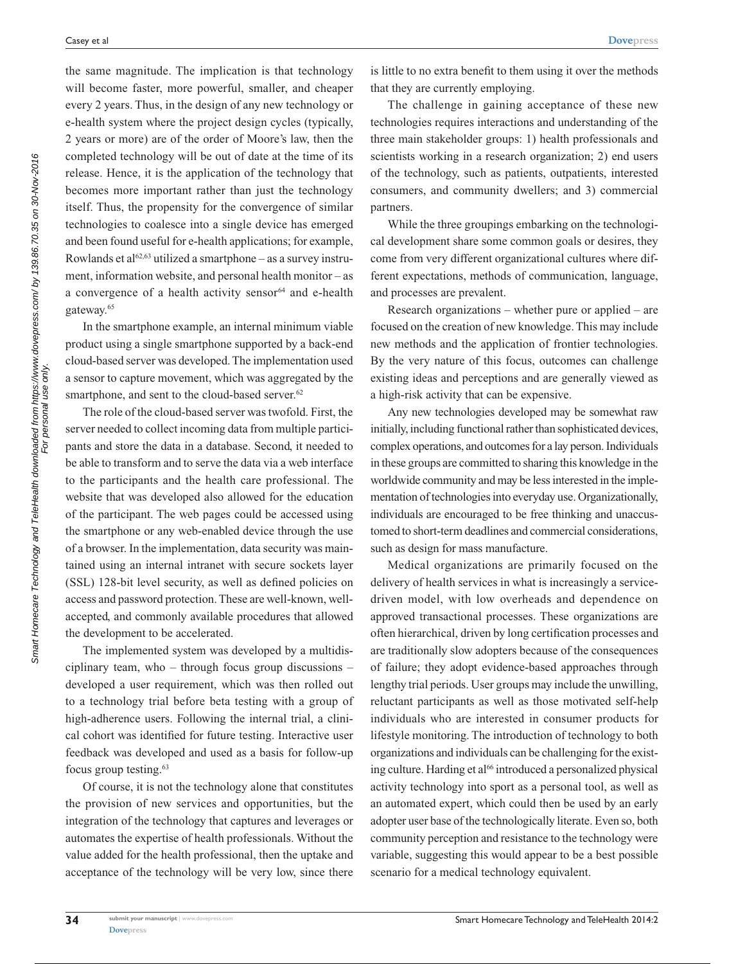the same magnitude. The implication is that technology will become faster, more powerful, smaller, and cheaper every 2 years. Thus, in the design of any new technology or e-health system where the project design cycles (typically, 2 years or more) are of the order of Moore's law, then the completed technology will be out of date at the time of its release. Hence, it is the application of the technology that becomes more important rather than just the technology itself. Thus, the propensity for the convergence of similar technologies to coalesce into a single device has emerged and been found useful for e-health applications; for example, Rowlands et al $62,63$  utilized a smartphone – as a survey instrument, information website, and personal health monitor – as a convergence of a health activity sensor<sup>64</sup> and e-health gateway.65

In the smartphone example, an internal minimum viable product using a single smartphone supported by a back-end cloud-based server was developed. The implementation used a sensor to capture movement, which was aggregated by the smartphone, and sent to the cloud-based server.<sup>62</sup>

The role of the cloud-based server was twofold. First, the server needed to collect incoming data from multiple participants and store the data in a database. Second, it needed to be able to transform and to serve the data via a web interface to the participants and the health care professional. The website that was developed also allowed for the education of the participant. The web pages could be accessed using the smartphone or any web-enabled device through the use of a browser. In the implementation, data security was maintained using an internal intranet with secure sockets layer (SSL) 128-bit level security, as well as defined policies on access and password protection. These are well-known, wellaccepted, and commonly available procedures that allowed the development to be accelerated.

The implemented system was developed by a multidisciplinary team, who – through focus group discussions – developed a user requirement, which was then rolled out to a technology trial before beta testing with a group of high-adherence users. Following the internal trial, a clinical cohort was identified for future testing. Interactive user feedback was developed and used as a basis for follow-up focus group testing.<sup>63</sup>

Of course, it is not the technology alone that constitutes the provision of new services and opportunities, but the integration of the technology that captures and leverages or automates the expertise of health professionals. Without the value added for the health professional, then the uptake and acceptance of the technology will be very low, since there is little to no extra benefit to them using it over the methods that they are currently employing.

The challenge in gaining acceptance of these new technologies requires interactions and understanding of the three main stakeholder groups: 1) health professionals and scientists working in a research organization; 2) end users of the technology, such as patients, outpatients, interested consumers, and community dwellers; and 3) commercial partners.

While the three groupings embarking on the technological development share some common goals or desires, they come from very different organizational cultures where different expectations, methods of communication, language, and processes are prevalent.

Research organizations – whether pure or applied – are focused on the creation of new knowledge. This may include new methods and the application of frontier technologies. By the very nature of this focus, outcomes can challenge existing ideas and perceptions and are generally viewed as a high-risk activity that can be expensive.

Any new technologies developed may be somewhat raw initially, including functional rather than sophisticated devices, complex operations, and outcomes for a lay person. Individuals in these groups are committed to sharing this knowledge in the worldwide community and may be less interested in the implementation of technologies into everyday use. Organizationally, individuals are encouraged to be free thinking and unaccustomed to short-term deadlines and commercial considerations, such as design for mass manufacture.

Medical organizations are primarily focused on the delivery of health services in what is increasingly a servicedriven model, with low overheads and dependence on approved transactional processes. These organizations are often hierarchical, driven by long certification processes and are traditionally slow adopters because of the consequences of failure; they adopt evidence-based approaches through lengthy trial periods. User groups may include the unwilling, reluctant participants as well as those motivated self-help individuals who are interested in consumer products for lifestyle monitoring. The introduction of technology to both organizations and individuals can be challenging for the existing culture. Harding et al<sup>66</sup> introduced a personalized physical activity technology into sport as a personal tool, as well as an automated expert, which could then be used by an early adopter user base of the technologically literate. Even so, both community perception and resistance to the technology were variable, suggesting this would appear to be a best possible scenario for a medical technology equivalent.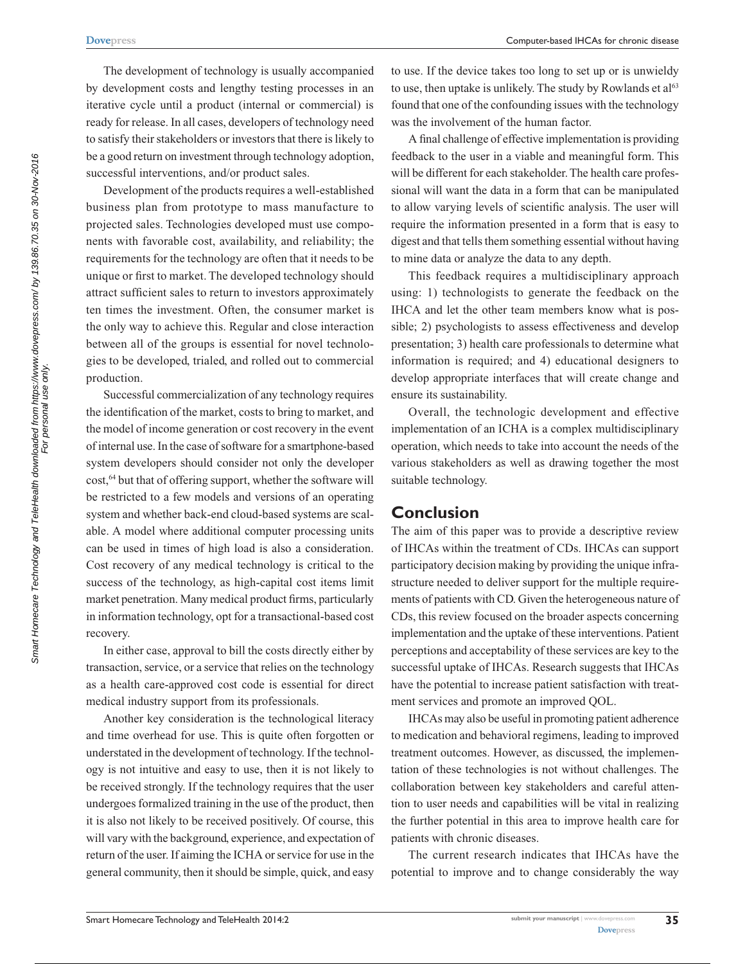The development of technology is usually accompanied by development costs and lengthy testing processes in an iterative cycle until a product (internal or commercial) is ready for release. In all cases, developers of technology need to satisfy their stakeholders or investors that there is likely to be a good return on investment through technology adoption, successful interventions, and/or product sales.

Development of the products requires a well-established business plan from prototype to mass manufacture to projected sales. Technologies developed must use components with favorable cost, availability, and reliability; the requirements for the technology are often that it needs to be unique or first to market. The developed technology should attract sufficient sales to return to investors approximately ten times the investment. Often, the consumer market is the only way to achieve this. Regular and close interaction between all of the groups is essential for novel technologies to be developed, trialed, and rolled out to commercial production.

Successful commercialization of any technology requires the identification of the market, costs to bring to market, and the model of income generation or cost recovery in the event of internal use. In the case of software for a smartphone-based system developers should consider not only the developer cost,<sup>64</sup> but that of offering support, whether the software will be restricted to a few models and versions of an operating system and whether back-end cloud-based systems are scalable. A model where additional computer processing units can be used in times of high load is also a consideration. Cost recovery of any medical technology is critical to the success of the technology, as high-capital cost items limit market penetration. Many medical product firms, particularly in information technology, opt for a transactional-based cost recovery.

In either case, approval to bill the costs directly either by transaction, service, or a service that relies on the technology as a health care-approved cost code is essential for direct medical industry support from its professionals.

Another key consideration is the technological literacy and time overhead for use. This is quite often forgotten or understated in the development of technology. If the technology is not intuitive and easy to use, then it is not likely to be received strongly. If the technology requires that the user undergoes formalized training in the use of the product, then it is also not likely to be received positively. Of course, this will vary with the background, experience, and expectation of return of the user. If aiming the ICHA or service for use in the general community, then it should be simple, quick, and easy

to use. If the device takes too long to set up or is unwieldy to use, then uptake is unlikely. The study by Rowlands et  $a^{63}$ found that one of the confounding issues with the technology was the involvement of the human factor.

A final challenge of effective implementation is providing feedback to the user in a viable and meaningful form. This will be different for each stakeholder. The health care professional will want the data in a form that can be manipulated to allow varying levels of scientific analysis. The user will require the information presented in a form that is easy to digest and that tells them something essential without having to mine data or analyze the data to any depth.

This feedback requires a multidisciplinary approach using: 1) technologists to generate the feedback on the IHCA and let the other team members know what is possible; 2) psychologists to assess effectiveness and develop presentation; 3) health care professionals to determine what information is required; and 4) educational designers to develop appropriate interfaces that will create change and ensure its sustainability.

Overall, the technologic development and effective implementation of an ICHA is a complex multidisciplinary operation, which needs to take into account the needs of the various stakeholders as well as drawing together the most suitable technology.

#### **Conclusion**

The aim of this paper was to provide a descriptive review of IHCAs within the treatment of CDs. IHCAs can support participatory decision making by providing the unique infrastructure needed to deliver support for the multiple requirements of patients with CD. Given the heterogeneous nature of CDs, this review focused on the broader aspects concerning implementation and the uptake of these interventions. Patient perceptions and acceptability of these services are key to the successful uptake of IHCAs. Research suggests that IHCAs have the potential to increase patient satisfaction with treatment services and promote an improved QOL.

IHCAs may also be useful in promoting patient adherence to medication and behavioral regimens, leading to improved treatment outcomes. However, as discussed, the implementation of these technologies is not without challenges. The collaboration between key stakeholders and careful attention to user needs and capabilities will be vital in realizing the further potential in this area to improve health care for patients with chronic diseases.

The current research indicates that IHCAs have the potential to improve and to change considerably the way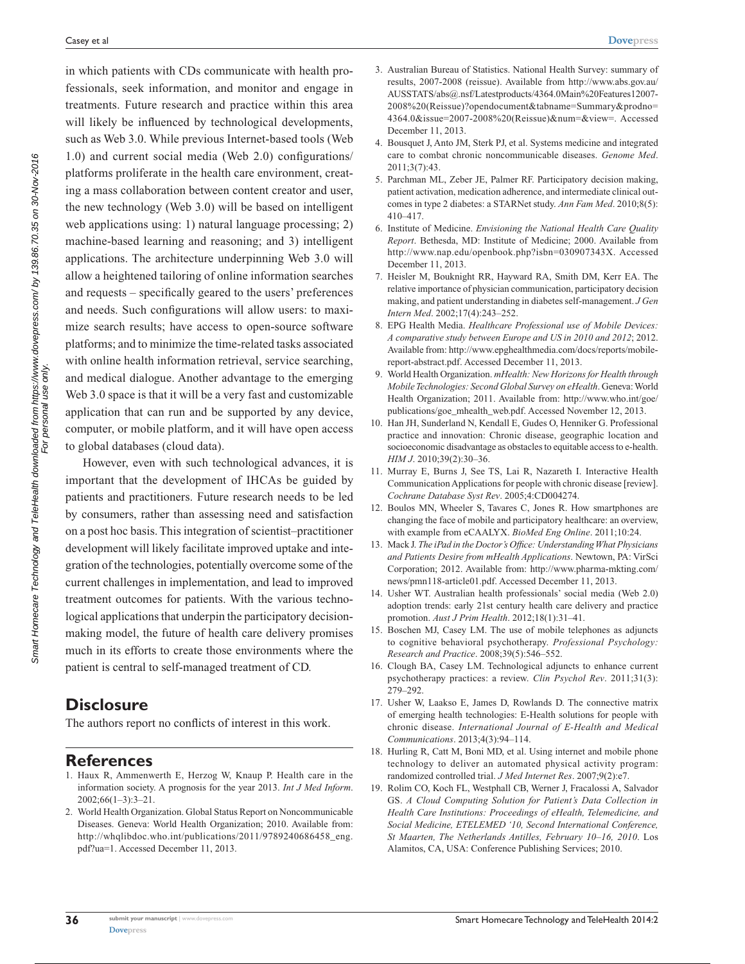in which patients with CDs communicate with health professionals, seek information, and monitor and engage in treatments. Future research and practice within this area will likely be influenced by technological developments, such as Web 3.0. While previous Internet-based tools (Web 1.0) and current social media (Web 2.0) configurations/ platforms proliferate in the health care environment, creating a mass collaboration between content creator and user, the new technology (Web 3.0) will be based on intelligent web applications using: 1) natural language processing; 2) machine-based learning and reasoning; and 3) intelligent applications. The architecture underpinning Web 3.0 will allow a heightened tailoring of online information searches and requests – specifically geared to the users' preferences and needs. Such configurations will allow users: to maximize search results; have access to open-source software platforms; and to minimize the time-related tasks associated with online health information retrieval, service searching, and medical dialogue. Another advantage to the emerging Web 3.0 space is that it will be a very fast and customizable application that can run and be supported by any device, computer, or mobile platform, and it will have open access to global databases (cloud data).

However, even with such technological advances, it is important that the development of IHCAs be guided by patients and practitioners. Future research needs to be led by consumers, rather than assessing need and satisfaction on a post hoc basis. This integration of scientist–practitioner development will likely facilitate improved uptake and integration of the technologies, potentially overcome some of the current challenges in implementation, and lead to improved treatment outcomes for patients. With the various technological applications that underpin the participatory decisionmaking model, the future of health care delivery promises much in its efforts to create those environments where the patient is central to self-managed treatment of CD.

### **Disclosure**

The authors report no conflicts of interest in this work.

#### **References**

- 1. Haux R, Ammenwerth E, Herzog W, Knaup P. Health care in the information society. A prognosis for the year 2013. *Int J Med Inform*. 2002;66(1–3):3–21.
- 2. World Health Organization. Global Status Report on Noncommunicable Diseases. Geneva: World Health Organization; 2010. Available from: [http://whqlibdoc.who.int/publications/2011/9789240686458\\_eng.](http://whqlibdoc.who.int/publications/2011/9789240686458_eng.pdf?ua=1) [pdf?ua=1](http://whqlibdoc.who.int/publications/2011/9789240686458_eng.pdf?ua=1). Accessed December 11, 2013.
- 3. Australian Bureau of Statistics. National Health Survey: summary of results, 2007-2008 (reissue). Available from [http://www.abs.gov.au/](http://www.abs.gov.au/AUSSTATS/abs@.nsf/Latestproducts/4364.0Main%20Features12007-2008%20(Reissue)?opendocument&tabname=Summary&prodno=4364.0&issue=2007-2008%20(Reissue)&num=&view=) [AUSSTATS/abs@.nsf/Latestproducts/4364.0Main%20Features12007-](http://www.abs.gov.au/AUSSTATS/abs@.nsf/Latestproducts/4364.0Main%20Features12007-2008%20(Reissue)?opendocument&tabname=Summary&prodno=4364.0&issue=2007-2008%20(Reissue)&num=&view=) [2008%20\(Reissue\)?opendocument&tabname=Summary&prodno=](http://www.abs.gov.au/AUSSTATS/abs@.nsf/Latestproducts/4364.0Main%20Features12007-2008%20(Reissue)?opendocument&tabname=Summary&prodno=4364.0&issue=2007-2008%20(Reissue)&num=&view=) [4364.0&issue=2007-2008%20\(Reissue\)&num=&view=.](http://www.abs.gov.au/AUSSTATS/abs@.nsf/Latestproducts/4364.0Main%20Features12007-2008%20(Reissue)?opendocument&tabname=Summary&prodno=4364.0&issue=2007-2008%20(Reissue)&num=&view=) Accessed December 11, 2013.
- 4. Bousquet J, Anto JM, Sterk PJ, et al. Systems medicine and integrated care to combat chronic noncommunicable diseases. *Genome Med*. 2011;3(7):43.
- 5. Parchman ML, Zeber JE, Palmer RF. Participatory decision making, patient activation, medication adherence, and intermediate clinical outcomes in type 2 diabetes: a STARNet study. *Ann Fam Med*. 2010;8(5): 410–417.
- 6. Institute of Medicine. *Envisioning the National Health Care Quality Report*. Bethesda, MD: Institute of Medicine; 2000. Available from <http://www.nap.edu/openbook.php?isbn=030907343X>. Accessed December 11, 2013.
- 7. Heisler M, Bouknight RR, Hayward RA, Smith DM, Kerr EA. The relative importance of physician communication, participatory decision making, and patient understanding in diabetes self-management. *J Gen Intern Med*. 2002;17(4):243–252.
- 8. EPG Health Media. *Healthcare Professional use of Mobile Devices: A comparative study between Europe and US in 2010 and 2012*; 2012. Available from: [http://www.epghealthmedia.com/docs/reports/mobile](http://www.epghealthmedia.com/docs/reports/mobile-report-abstract.pdf)[report-abstract.pdf](http://www.epghealthmedia.com/docs/reports/mobile-report-abstract.pdf). Accessed December 11, 2013.
- 9. World Health Organization. *mHealth: New Horizons for Health through Mobile Technologies: Second Global Survey on eHealth*. Geneva: World Health Organization; 2011. Available from: [http://www.who.int/goe/](http://www.who.int/goe/publications/goe_mhealth_web.pdf) [publications/goe\\_mhealth\\_web.pdf](http://www.who.int/goe/publications/goe_mhealth_web.pdf). Accessed November 12, 2013.
- 10. Han JH, Sunderland N, Kendall E, Gudes O, Henniker G. Professional practice and innovation: Chronic disease, geographic location and socioeconomic disadvantage as obstacles to equitable access to e-health. *HIM J*. 2010;39(2):30–36.
- 11. Murray E, Burns J, See TS, Lai R, Nazareth I. Interactive Health Communication Applications for people with chronic disease [review]. *Cochrane Database Syst Rev*. 2005;4:CD004274.
- 12. Boulos MN, Wheeler S, Tavares C, Jones R. How smartphones are changing the face of mobile and participatory healthcare: an overview, with example from eCAALYX. *BioMed Eng Online*. 2011;10:24.
- 13. Mack J. *The iPad in the Doctor's Office: Understanding What Physicians and Patients Desire from mHealth Applications*. Newtown, PA: VirSci Corporation; 2012. Available fr[om: h](http://www.pharma-mkting.com/news/pmn118-article01.pdf)ttp://www.pharma-mkting.com/ [news/pmn118-article01.pdf.](http://www.pharma-mkting.com/news/pmn118-article01.pdf) Accessed December 11, 2013.
- 14. Usher WT. Australian health professionals' social media (Web 2.0) adoption trends: early 21st century health care delivery and practice promotion. *Aust J Prim Health*. 2012;18(1):31–41.
- 15. Boschen MJ, Casey LM. The use of mobile telephones as adjuncts to cognitive behavioral psychotherapy. *Professional Psychology: Research and Practice*. 2008;39(5):546–552.
- 16. Clough BA, Casey LM. Technological adjuncts to enhance current psychotherapy practices: a review. *Clin Psychol Rev*. 2011;31(3): 279–292.
- 17. Usher W, Laakso E, James D, Rowlands D. The connective matrix of emerging health technologies: E-Health solutions for people with chronic disease. *International Journal of E-Health and Medical Communications*. 2013;4(3):94–114.
- 18. Hurling R, Catt M, Boni MD, et al. Using internet and mobile phone technology to deliver an automated physical activity program: randomized controlled trial. *J Med Internet Res*. 2007;9(2):e7.
- 19. Rolim CO, Koch FL, Westphall CB, Werner J, Fracalossi A, Salvador GS. *A Cloud Computing Solution for Patient's Data Collection in Health Care Institutions: Proceedings of eHealth, Telemedicine, and Social Medicine, ETELEMED '10, Second International Conference, St Maarten, The Netherlands Antilles, February 10–16, 2010*. Los Alamitos, CA, USA: Conference Publishing Services; 2010.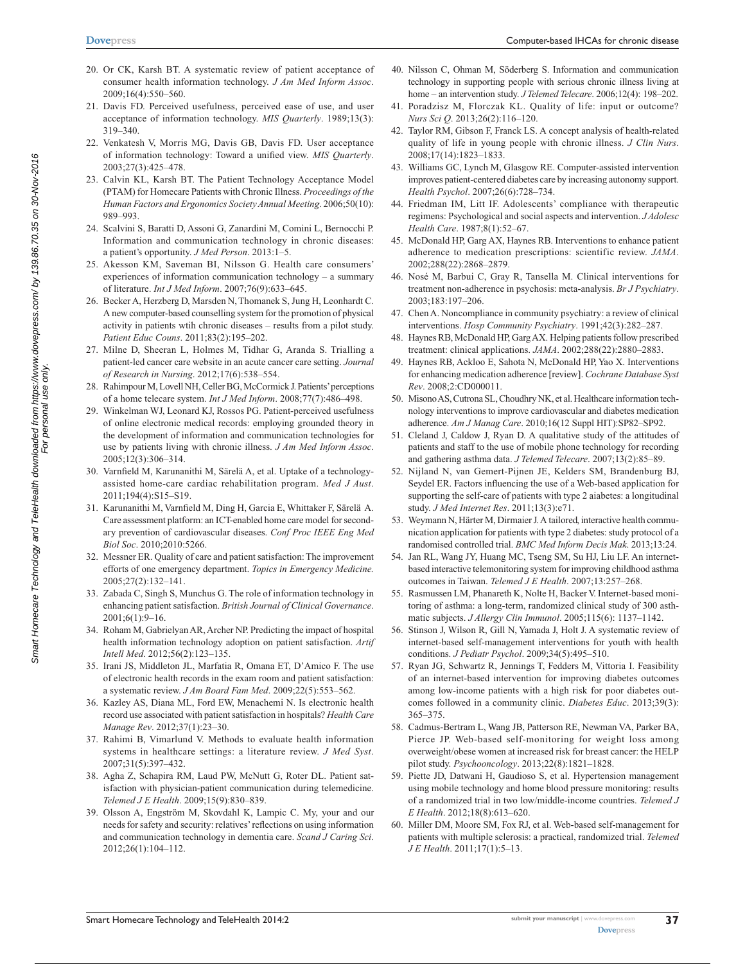- 20. Or CK, Karsh BT. A systematic review of patient acceptance of consumer health information technology. *J Am Med Inform Assoc*. 2009;16(4):550–560.
- 21. Davis FD. Perceived usefulness, perceived ease of use, and user acceptance of information technology. *MIS Quarterly*. 1989;13(3): 319–340.
- 22. Venkatesh V, Morris MG, Davis GB, Davis FD. User acceptance of information technology: Toward a unified view. *MIS Quarterly*. 2003;27(3):425–478.
- 23. Calvin KL, Karsh BT. The Patient Technology Acceptance Model (PTAM) for Homecare Patients with Chronic Illness. *Proceedings of the Human Factors and Ergonomics Society Annual Meeting*. 2006;50(10): 989–993.
- 24. Scalvini S, Baratti D, Assoni G, Zanardini M, Comini L, Bernocchi P. Information and communication technology in chronic diseases: a patient's opportunity. *J Med Person*. 2013:1–5.
- 25. Akesson KM, Saveman BI, Nilsson G. Health care consumers' experiences of information communication technology – a summary of literature. *Int J Med Inform*. 2007;76(9):633–645.
- 26. Becker A, Herzberg D, Marsden N, Thomanek S, Jung H, Leonhardt C. A new computer-based counselling system for the promotion of physical activity in patients wtih chronic diseases – results from a pilot study. *Patient Educ Couns*. 2011;83(2):195–202.
- 27. Milne D, Sheeran L, Holmes M, Tidhar G, Aranda S. Trialling a patient-led cancer care website in an acute cancer care setting. *Journal of Research in Nursing*. 2012;17(6):538–554.
- 28. Rahimpour M, Lovell NH, Celler BG, McCormick J. Patients' perceptions of a home telecare system. *Int J Med Inform*. 2008;77(7):486–498.
- 29. Winkelman WJ, Leonard KJ, Rossos PG. Patient-perceived usefulness of online electronic medical records: employing grounded theory in the development of information and communication technologies for use by patients living with chronic illness. *J Am Med Inform Assoc*. 2005;12(3):306–314.
- 30. Varnfield M, Karunanithi M, Särelä A, et al. Uptake of a technologyassisted home-care cardiac rehabilitation program. *Med J Aust*. 2011;194(4):S15–S19.
- 31. Karunanithi M, Varnfield M, Ding H, Garcia E, Whittaker F, Särelä A. Care assessment platform: an ICT-enabled home care model for secondary prevention of cardiovascular diseases. *Conf Proc IEEE Eng Med Biol Soc*. 2010;2010:5266.
- 32. Messner ER. Quality of care and patient satisfaction: The improvement efforts of one emergency department. *Topics in Emergency Medicine.* 2005;27(2):132–141.
- 33. Zabada C, Singh S, Munchus G. The role of information technology in enhancing patient satisfaction. *British Journal of Clinical Governance*. 2001;6(1):9–16.
- 34. Roham M, Gabrielyan AR, Archer NP. Predicting the impact of hospital health information technology adoption on patient satisfaction. *Artif Intell Med*. 2012;56(2):123–135.
- 35. Irani JS, Middleton JL, Marfatia R, Omana ET, D'Amico F. The use of electronic health records in the exam room and patient satisfaction: a systematic review. *J Am Board Fam Med*. 2009;22(5):553–562.
- 36. Kazley AS, Diana ML, Ford EW, Menachemi N. Is electronic health record use associated with patient satisfaction in hospitals? *Health Care Manage Rev*. 2012;37(1):23–30.
- 37. Rahimi B, Vimarlund V. Methods to evaluate health information systems in healthcare settings: a literature review. *J Med Syst*. 2007;31(5):397–432.
- 38. Agha Z, Schapira RM, Laud PW, McNutt G, Roter DL. Patient satisfaction with physician-patient communication during telemedicine. *Telemed J E Health*. 2009;15(9):830–839.
- 39. Olsson A, Engström M, Skovdahl K, Lampic C. My, your and our needs for safety and security: relatives' reflections on using information and communication technology in dementia care. *Scand J Caring Sci*. 2012;26(1):104–112.
- 40. Nilsson C, Ohman M, Söderberg S. Information and communication technology in supporting people with serious chronic illness living at home – an intervention study. *J Telemed Telecare*. 2006;12(4): 198–202.
- 41. Poradzisz M, Florczak KL. Quality of life: input or outcome? *Nurs Sci Q*. 2013;26(2):116–120.
- 42. Taylor RM, Gibson F, Franck LS. A concept analysis of health-related quality of life in young people with chronic illness. *J Clin Nurs*. 2008;17(14):1823–1833.
- 43. Williams GC, Lynch M, Glasgow RE. Computer-assisted intervention improves patient-centered diabetes care by increasing autonomy support. *Health Psychol*. 2007;26(6):728–734.
- 44. Friedman IM, Litt IF. Adolescents' compliance with therapeutic regimens: Psychological and social aspects and intervention. *J Adolesc Health Care*. 1987;8(1):52–67.
- 45. McDonald HP, Garg AX, Haynes RB. Interventions to enhance patient adherence to medication prescriptions: scientific review. *JAMA*. 2002;288(22):2868–2879.
- 46. Nosé M, Barbui C, Gray R, Tansella M. Clinical interventions for treatment non-adherence in psychosis: meta-analysis. *Br J Psychiatry*. 2003;183:197–206.
- 47. Chen A. Noncompliance in community psychiatry: a review of clinical interventions. *Hosp Community Psychiatry*. 1991;42(3):282–287.
- 48. Haynes RB, McDonald HP, Garg AX. Helping patients follow prescribed treatment: clinical applications. *JAMA*. 2002;288(22):2880–2883.
- 49. Haynes RB, Ackloo E, Sahota N, McDonald HP, Yao X. Interventions for enhancing medication adherence [review]. *Cochrane Database Syst Rev*. 2008;2:CD000011.
- 50. Misono AS, Cutrona SL, Choudhry NK, et al. Healthcare information technology interventions to improve cardiovascular and diabetes medication adherence. *Am J Manag Care*. 2010;16(12 Suppl HIT):SP82–SP92.
- 51. Cleland J, Caldow J, Ryan D. A qualitative study of the attitudes of patients and staff to the use of mobile phone technology for recording and gathering asthma data. *J Telemed Telecare*. 2007;13(2):85–89.
- 52. Nijland N, van Gemert-Pijnen JE, Kelders SM, Brandenburg BJ, Seydel ER. Factors influencing the use of a Web-based application for supporting the self-care of patients with type 2 aiabetes: a longitudinal study. *J Med Internet Res*. 2011;13(3):e71.
- 53. Weymann N, Härter M, Dirmaier J. A tailored, interactive health communication application for patients with type 2 diabetes: study protocol of a randomised controlled trial. *BMC Med Inform Decis Mak*. 2013;13:24.
- 54. Jan RL, Wang JY, Huang MC, Tseng SM, Su HJ, Liu LF. An internetbased interactive telemonitoring system for improving childhood asthma outcomes in Taiwan. *Telemed J E Health*. 2007;13:257–268.
- 55. Rasmussen LM, Phanareth K, Nolte H, Backer V. Internet-based monitoring of asthma: a long-term, randomized clinical study of 300 asthmatic subjects. *J Allergy Clin Immunol*. 2005;115(6): 1137–1142.
- 56. Stinson J, Wilson R, Gill N, Yamada J, Holt J. A systematic review of internet-based self-management interventions for youth with health conditions. *J Pediatr Psychol*. 2009;34(5):495–510.
- 57. Ryan JG, Schwartz R, Jennings T, Fedders M, Vittoria I. Feasibility of an internet-based intervention for improving diabetes outcomes among low-income patients with a high risk for poor diabetes outcomes followed in a community clinic. *Diabetes Educ*. 2013;39(3): 365–375.
- 58. Cadmus-Bertram L, Wang JB, Patterson RE, Newman VA, Parker BA, Pierce JP. Web-based self-monitoring for weight loss among overweight/obese women at increased risk for breast cancer: the HELP pilot study. *Psychooncology*. 2013;22(8):1821–1828.
- 59. Piette JD, Datwani H, Gaudioso S, et al. Hypertension management using mobile technology and home blood pressure monitoring: results of a randomized trial in two low/middle-income countries. *Telemed J E Health*. 2012;18(8):613–620.
- 60. Miller DM, Moore SM, Fox RJ, et al. Web-based self-management for patients with multiple sclerosis: a practical, randomized trial. *Telemed J E Health*. 2011;17(1):5–13.